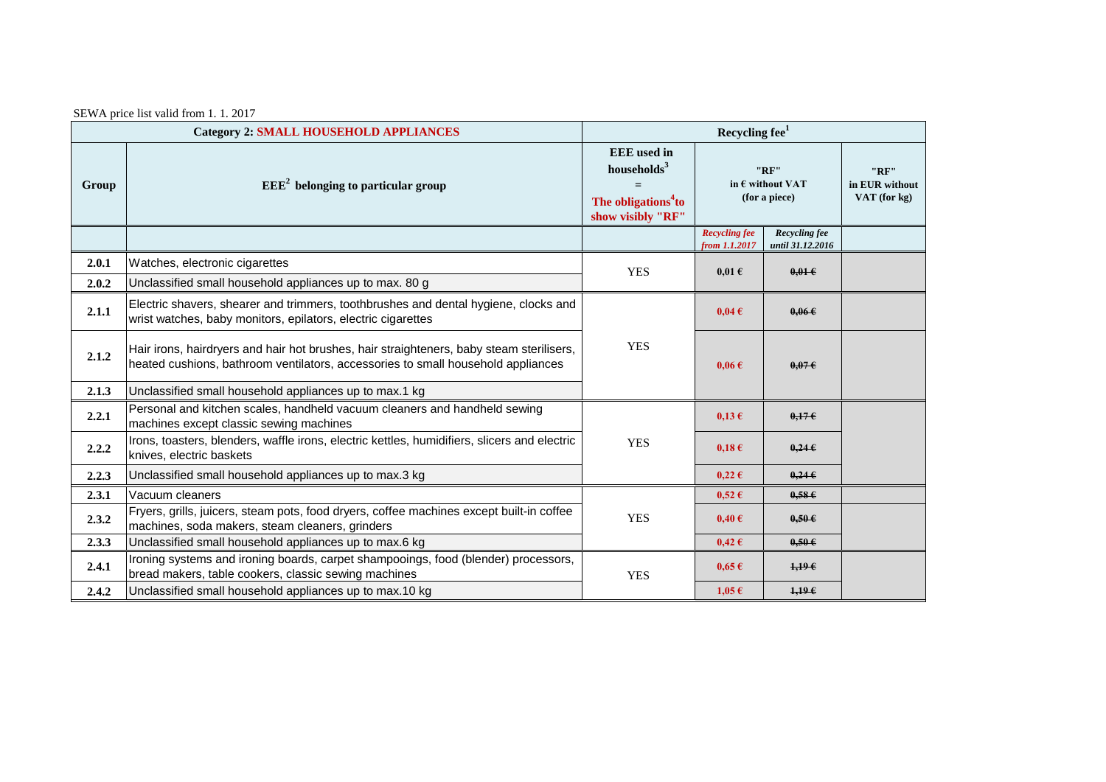|  | SEWA price list valid from 1.1.2017 |  |  |
|--|-------------------------------------|--|--|
|--|-------------------------------------|--|--|

|                | <b>Category 2: SMALL HOUSEHOLD APPLIANCES</b>                                                                                                                                | Recycling fee <sup>1</sup>                                                                            |                                                    |                                   |                                           |
|----------------|------------------------------------------------------------------------------------------------------------------------------------------------------------------------------|-------------------------------------------------------------------------------------------------------|----------------------------------------------------|-----------------------------------|-------------------------------------------|
| Group          | $EEE2$ belonging to particular group                                                                                                                                         | <b>EEE</b> used in<br>households <sup>3</sup><br>The obligations <sup>4</sup> to<br>show visibly "RF" | "RF"<br>in $\epsilon$ without VAT<br>(for a piece) |                                   | "RF"<br>in EUR without<br>VAT (for $kg$ ) |
|                |                                                                                                                                                                              |                                                                                                       | <b>Recycling fee</b><br>from 1.1.2017              | Recycling fee<br>until 31.12.2016 |                                           |
| 2.0.1<br>2.0.2 | Watches, electronic cigarettes<br>Unclassified small household appliances up to max. 80 g                                                                                    | <b>YES</b>                                                                                            | $0.01 \text{ }\epsilon$                            | $0.01 \in$                        |                                           |
| 2.1.1          | Electric shavers, shearer and trimmers, toothbrushes and dental hygiene, clocks and<br>wrist watches, baby monitors, epilators, electric cigarettes                          | <b>YES</b>                                                                                            | $0,04 \in$                                         | 0.066                             |                                           |
| 2.1.2          | Hair irons, hairdryers and hair hot brushes, hair straighteners, baby steam sterilisers,<br>heated cushions, bathroom ventilators, accessories to small household appliances |                                                                                                       | $0.06 \text{ } \in$                                | 0.076                             |                                           |
| 2.1.3          | Unclassified small household appliances up to max.1 kg                                                                                                                       |                                                                                                       |                                                    |                                   |                                           |
| 2.2.1          | Personal and kitchen scales, handheld vacuum cleaners and handheld sewing<br>machines except classic sewing machines                                                         | <b>YES</b>                                                                                            | $0,13 \in$                                         | 0.176                             |                                           |
| 2.2.2          | Irons, toasters, blenders, waffle irons, electric kettles, humidifiers, slicers and electric<br>knives, electric baskets                                                     |                                                                                                       | $0,18 \in$                                         | 0.24E                             |                                           |
| 2.2.3          | Unclassified small household appliances up to max.3 kg                                                                                                                       |                                                                                                       | $0,22 \in$                                         | $0,24 \in$                        |                                           |
| 2.3.1          | Vacuum cleaners                                                                                                                                                              | <b>YES</b>                                                                                            | $0,52 \in$                                         | 0,586                             |                                           |
| 2.3.2          | Fryers, grills, juicers, steam pots, food dryers, coffee machines except built-in coffee<br>machines, soda makers, steam cleaners, grinders                                  |                                                                                                       | $0,40 \in$                                         | $0,50 \in$                        |                                           |
| 2.3.3          | Unclassified small household appliances up to max.6 kg                                                                                                                       |                                                                                                       | $0,42 \in$                                         | $0,50 \in$                        |                                           |
| 2.4.1          | Ironing systems and ironing boards, carpet shampooings, food (blender) processors,<br>bread makers, table cookers, classic sewing machines                                   | <b>YES</b>                                                                                            | $0,65 \in$                                         | 1,196                             |                                           |
| 2.4.2          | Unclassified small household appliances up to max.10 kg                                                                                                                      |                                                                                                       | $1,05 \in$                                         | 1,196                             |                                           |